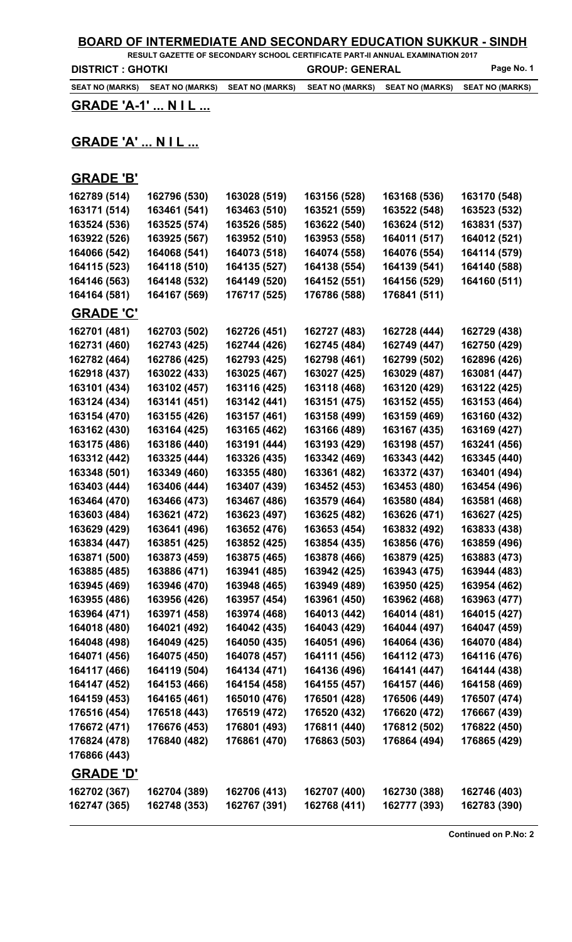### **BOARD OF INTERMEDIATE AND SECONDARY EDUCATION SUKKUR - SINDH**

**RESULT GAZETTE OF SECONDARY SCHOOL CERTIFICATE PART-II ANNUAL EXAMINATION 2017 DISTRICT : GHOTKI GROUP: GENERAL Page No. 1** 

**SEAT NO (MARKS) SEAT NO (MARKS) SEAT NO (MARKS) SEAT NO (MARKS) SEAT NO (MARKS) SEAT NO (MARKS)**

**GRADE 'A-1' ... N I L ...**

## **GRADE 'A' ... N I L ...**

#### **GRADE 'B'**

| 162789 (514)     | 162796 (530) | 163028 (519) | 163156 (528) | 163168 (536) | 163170 (548) |
|------------------|--------------|--------------|--------------|--------------|--------------|
| 163171 (514)     | 163461 (541) | 163463 (510) | 163521 (559) | 163522 (548) | 163523 (532) |
| 163524 (536)     | 163525 (574) | 163526 (585) | 163622 (540) | 163624 (512) | 163831 (537) |
| 163922 (526)     | 163925 (567) | 163952 (510) | 163953 (558) | 164011 (517) | 164012 (521) |
| 164066 (542)     | 164068 (541) | 164073 (518) | 164074 (558) | 164076 (554) | 164114 (579) |
| 164115 (523)     | 164118 (510) | 164135 (527) | 164138 (554) | 164139 (541) | 164140 (588) |
| 164146 (563)     | 164148 (532) | 164149 (520) | 164152 (551) | 164156 (529) | 164160 (511) |
| 164164 (581)     | 164167 (569) | 176717 (525) | 176786 (588) | 176841 (511) |              |
| <b>GRADE 'C'</b> |              |              |              |              |              |
| 162701 (481)     | 162703 (502) | 162726 (451) | 162727 (483) | 162728 (444) | 162729 (438) |
| 162731 (460)     | 162743 (425) | 162744 (426) | 162745 (484) | 162749 (447) | 162750 (429) |
| 162782 (464)     | 162786 (425) | 162793 (425) | 162798 (461) | 162799 (502) | 162896 (426) |
| 162918 (437)     | 163022 (433) | 163025 (467) | 163027 (425) | 163029 (487) | 163081 (447) |
| 163101 (434)     | 163102 (457) | 163116 (425) | 163118 (468) | 163120 (429) | 163122 (425) |
| 163124 (434)     | 163141 (451) | 163142 (441) | 163151 (475) | 163152 (455) | 163153 (464) |
| 163154 (470)     | 163155 (426) | 163157 (461) | 163158 (499) | 163159 (469) | 163160 (432) |
| 163162 (430)     | 163164 (425) | 163165 (462) | 163166 (489) | 163167 (435) | 163169 (427) |
| 163175 (486)     | 163186 (440) | 163191 (444) | 163193 (429) | 163198 (457) | 163241 (456) |
| 163312 (442)     | 163325 (444) | 163326 (435) | 163342 (469) | 163343 (442) | 163345 (440) |
| 163348 (501)     | 163349 (460) | 163355 (480) | 163361 (482) | 163372 (437) | 163401 (494) |
| 163403 (444)     | 163406 (444) | 163407 (439) | 163452 (453) | 163453 (480) | 163454 (496) |
| 163464 (470)     | 163466 (473) | 163467 (486) | 163579 (464) | 163580 (484) | 163581 (468) |
| 163603 (484)     | 163621 (472) | 163623 (497) | 163625 (482) | 163626 (471) | 163627 (425) |
| 163629 (429)     | 163641 (496) | 163652 (476) | 163653 (454) | 163832 (492) | 163833 (438) |
| 163834 (447)     | 163851 (425) | 163852 (425) | 163854 (435) | 163856 (476) | 163859 (496) |
| 163871 (500)     | 163873 (459) | 163875 (465) | 163878 (466) | 163879 (425) | 163883 (473) |
| 163885 (485)     | 163886 (471) | 163941 (485) | 163942 (425) | 163943 (475) | 163944 (483) |
| 163945 (469)     | 163946 (470) | 163948 (465) | 163949 (489) | 163950 (425) | 163954 (462) |
| 163955 (486)     | 163956 (426) | 163957 (454) | 163961 (450) | 163962 (468) | 163963 (477) |
| 163964 (471)     | 163971 (458) | 163974 (468) | 164013 (442) | 164014 (481) | 164015 (427) |
| 164018 (480)     | 164021 (492) | 164042 (435) | 164043 (429) | 164044 (497) | 164047 (459) |
| 164048 (498)     | 164049 (425) | 164050 (435) | 164051 (496) | 164064 (436) | 164070 (484) |
| 164071 (456)     | 164075 (450) | 164078 (457) | 164111 (456) | 164112 (473) | 164116 (476) |
| 164117 (466)     | 164119 (504) | 164134 (471) | 164136 (496) | 164141 (447) | 164144 (438) |
| 164147 (452)     | 164153 (466) | 164154 (458) | 164155 (457) | 164157 (446) | 164158 (469) |
| 164159 (453)     | 164165 (461) | 165010 (476) | 176501 (428) | 176506 (449) | 176507 (474) |
| 176516 (454)     | 176518 (443) | 176519 (472) | 176520 (432) | 176620 (472) | 176667 (439) |
| 176672 (471)     | 176676 (453) | 176801 (493) | 176811 (440) | 176812 (502) | 176822 (450) |
| 176824 (478)     | 176840 (482) | 176861 (470) | 176863 (503) | 176864 (494) | 176865 (429) |
| 176866 (443)     |              |              |              |              |              |
| <u>GRADE 'D'</u> |              |              |              |              |              |
| 162702 (367)     | 162704 (389) | 162706 (413) | 162707 (400) | 162730 (388) | 162746 (403) |
| 162747 (365)     | 162748 (353) | 162767 (391) | 162768 (411) | 162777 (393) | 162783 (390) |
|                  |              |              |              |              |              |

**Continued on P.No: 2**